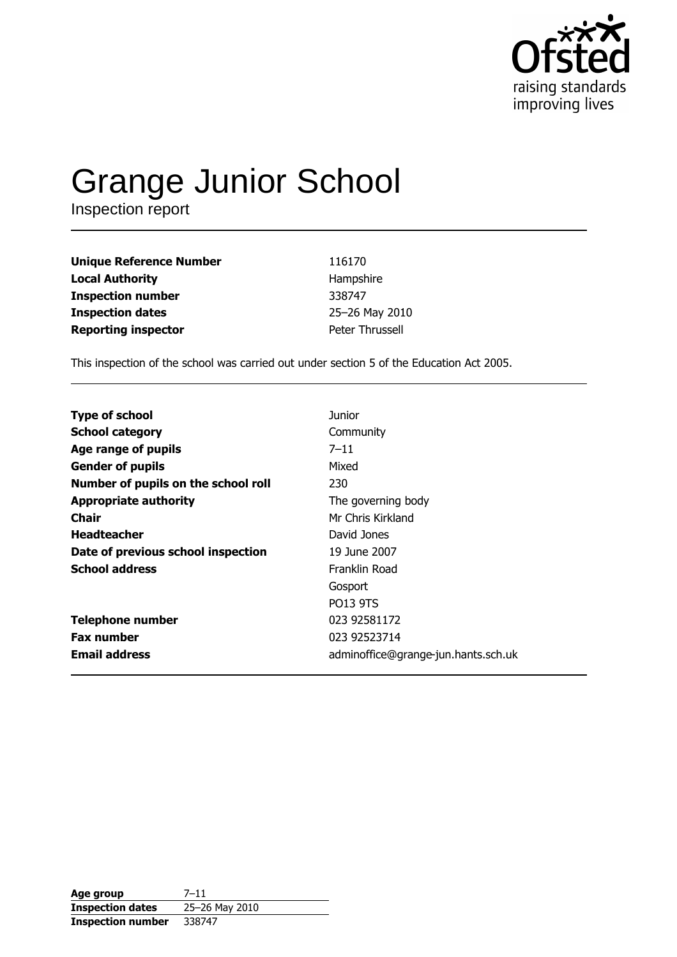

# **Grange Junior School**<br>Inspection report

| <b>Unique Reference Number</b> | 116170          |
|--------------------------------|-----------------|
| <b>Local Authority</b>         | Hampshire       |
| <b>Inspection number</b>       | 338747          |
| <b>Inspection dates</b>        | 25-26 May 2010  |
| <b>Reporting inspector</b>     | Peter Thrussell |

This inspection of the school was carried out under section 5 of the Education Act 2005.

| <b>Type of school</b>               | <b>Junior</b>                       |
|-------------------------------------|-------------------------------------|
| <b>School category</b>              | Community                           |
| Age range of pupils                 | $7 - 11$                            |
| <b>Gender of pupils</b>             | Mixed                               |
| Number of pupils on the school roll | 230                                 |
| <b>Appropriate authority</b>        | The governing body                  |
| Chair                               | Mr Chris Kirkland                   |
| <b>Headteacher</b>                  | David Jones                         |
| Date of previous school inspection  | 19 June 2007                        |
| <b>School address</b>               | Franklin Road                       |
|                                     | Gosport                             |
|                                     | <b>PO13 9TS</b>                     |
| <b>Telephone number</b>             | 023 92581172                        |
| <b>Fax number</b>                   | 023 92523714                        |
| <b>Email address</b>                | adminoffice@grange-jun.hants.sch.uk |

| Age group                | $7 - 11$       |
|--------------------------|----------------|
| <b>Inspection dates</b>  | 25-26 May 2010 |
| <b>Inspection number</b> | 338747         |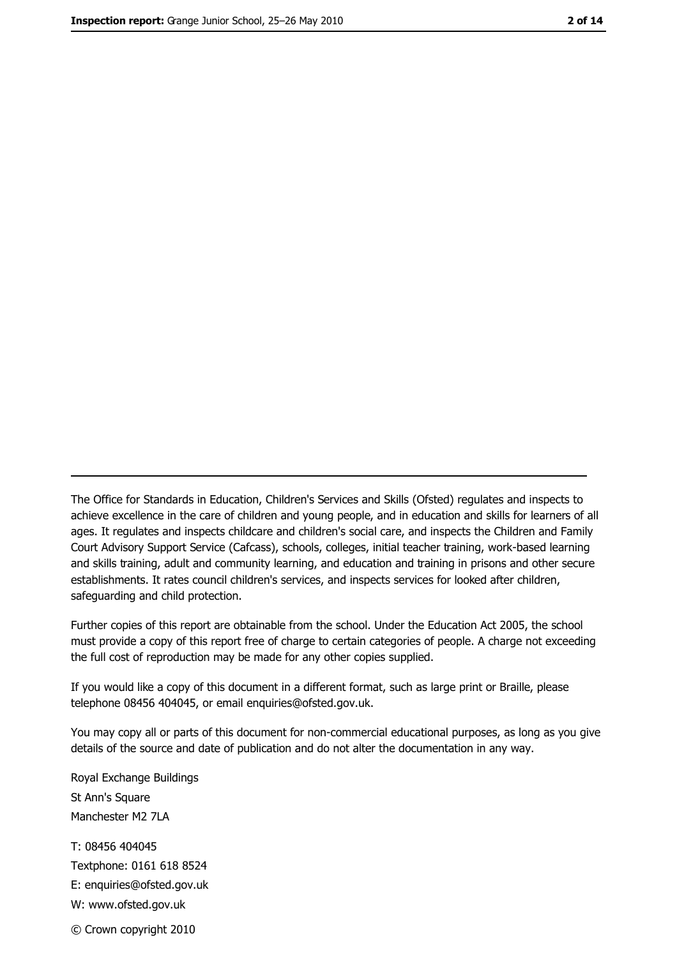The Office for Standards in Education, Children's Services and Skills (Ofsted) regulates and inspects to achieve excellence in the care of children and young people, and in education and skills for learners of all ages. It regulates and inspects childcare and children's social care, and inspects the Children and Family Court Advisory Support Service (Cafcass), schools, colleges, initial teacher training, work-based learning and skills training, adult and community learning, and education and training in prisons and other secure establishments. It rates council children's services, and inspects services for looked after children, safequarding and child protection.

Further copies of this report are obtainable from the school. Under the Education Act 2005, the school must provide a copy of this report free of charge to certain categories of people. A charge not exceeding the full cost of reproduction may be made for any other copies supplied.

If you would like a copy of this document in a different format, such as large print or Braille, please telephone 08456 404045, or email enquiries@ofsted.gov.uk.

You may copy all or parts of this document for non-commercial educational purposes, as long as you give details of the source and date of publication and do not alter the documentation in any way.

Royal Exchange Buildings St Ann's Square Manchester M2 7LA T: 08456 404045 Textphone: 0161 618 8524 E: enquiries@ofsted.gov.uk W: www.ofsted.gov.uk © Crown copyright 2010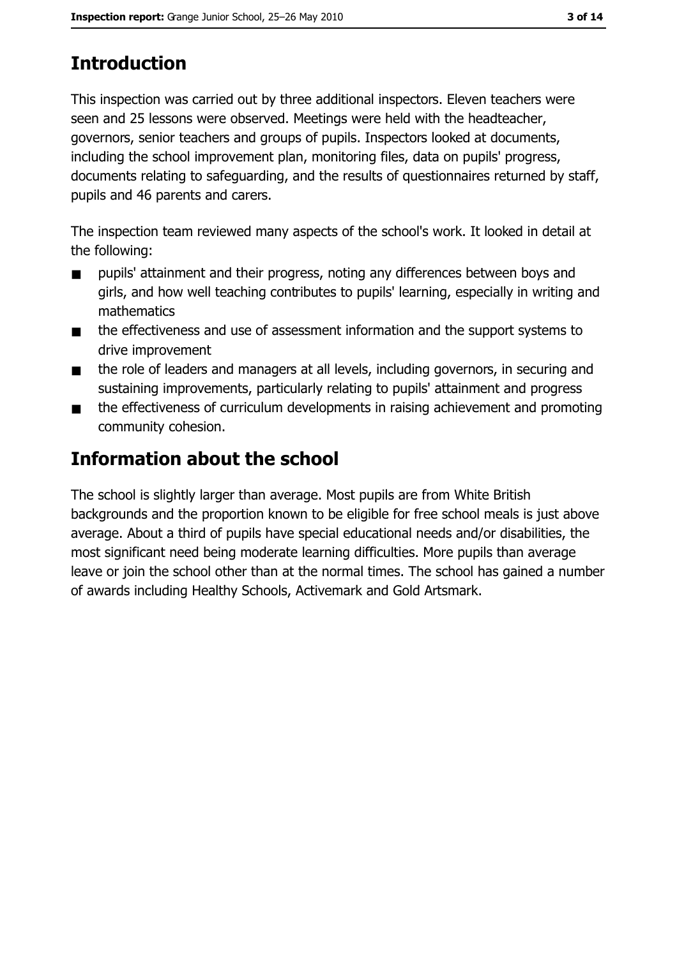# **Introduction**

This inspection was carried out by three additional inspectors. Eleven teachers were seen and 25 lessons were observed. Meetings were held with the headteacher, governors, senior teachers and groups of pupils. Inspectors looked at documents, including the school improvement plan, monitoring files, data on pupils' progress, documents relating to safeguarding, and the results of questionnaires returned by staff, pupils and 46 parents and carers.

The inspection team reviewed many aspects of the school's work. It looked in detail at the following:

- pupils' attainment and their progress, noting any differences between boys and  $\blacksquare$ girls, and how well teaching contributes to pupils' learning, especially in writing and mathematics
- the effectiveness and use of assessment information and the support systems to  $\blacksquare$ drive improvement
- the role of leaders and managers at all levels, including governors, in securing and  $\blacksquare$ sustaining improvements, particularly relating to pupils' attainment and progress
- the effectiveness of curriculum developments in raising achievement and promoting  $\blacksquare$ community cohesion.

## Information about the school

The school is slightly larger than average. Most pupils are from White British backgrounds and the proportion known to be eligible for free school meals is just above average. About a third of pupils have special educational needs and/or disabilities, the most significant need being moderate learning difficulties. More pupils than average leave or join the school other than at the normal times. The school has gained a number of awards including Healthy Schools, Activemark and Gold Artsmark.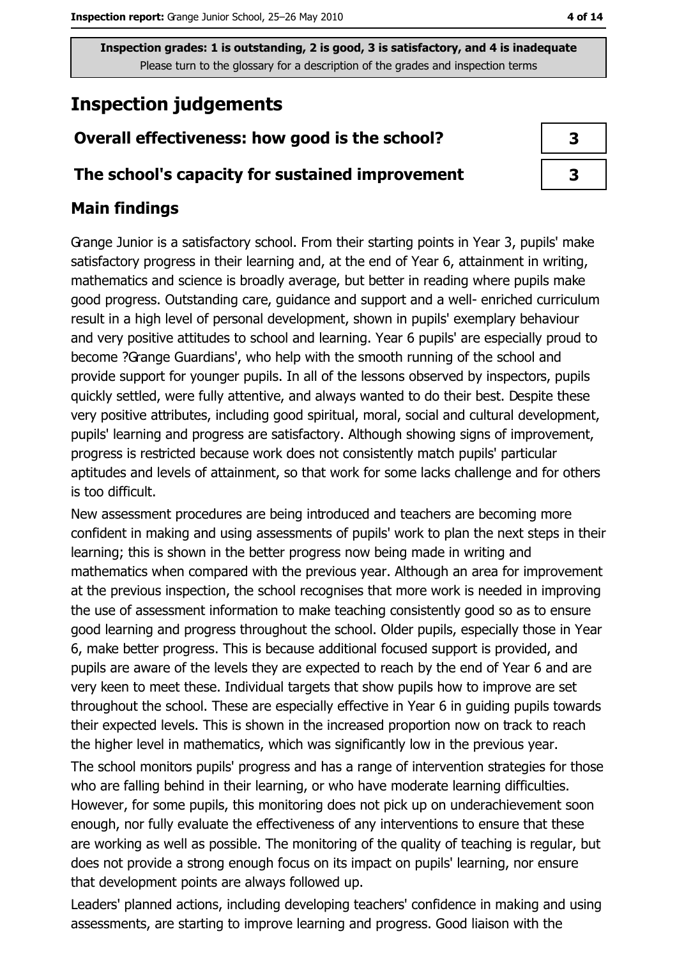## **Inspection judgements**

### Overall effectiveness: how good is the school?

#### The school's capacity for sustained improvement

#### **Main findings**

Grange Junior is a satisfactory school. From their starting points in Year 3, pupils' make satisfactory progress in their learning and, at the end of Year 6, attainment in writing, mathematics and science is broadly average, but better in reading where pupils make good progress. Outstanding care, guidance and support and a well- enriched curriculum result in a high level of personal development, shown in pupils' exemplary behaviour and very positive attitudes to school and learning. Year 6 pupils' are especially proud to become ?Grange Guardians', who help with the smooth running of the school and provide support for younger pupils. In all of the lessons observed by inspectors, pupils quickly settled, were fully attentive, and always wanted to do their best. Despite these very positive attributes, including good spiritual, moral, social and cultural development, pupils' learning and progress are satisfactory. Although showing signs of improvement, progress is restricted because work does not consistently match pupils' particular aptitudes and levels of attainment, so that work for some lacks challenge and for others is too difficult.

New assessment procedures are being introduced and teachers are becoming more confident in making and using assessments of pupils' work to plan the next steps in their learning; this is shown in the better progress now being made in writing and mathematics when compared with the previous year. Although an area for improvement at the previous inspection, the school recognises that more work is needed in improving the use of assessment information to make teaching consistently good so as to ensure good learning and progress throughout the school. Older pupils, especially those in Year 6, make better progress. This is because additional focused support is provided, and pupils are aware of the levels they are expected to reach by the end of Year 6 and are very keen to meet these. Individual targets that show pupils how to improve are set throughout the school. These are especially effective in Year 6 in guiding pupils towards their expected levels. This is shown in the increased proportion now on track to reach the higher level in mathematics, which was significantly low in the previous year.

The school monitors pupils' progress and has a range of intervention strategies for those who are falling behind in their learning, or who have moderate learning difficulties. However, for some pupils, this monitoring does not pick up on underachievement soon enough, nor fully evaluate the effectiveness of any interventions to ensure that these are working as well as possible. The monitoring of the quality of teaching is regular, but does not provide a strong enough focus on its impact on pupils' learning, nor ensure that development points are always followed up.

Leaders' planned actions, including developing teachers' confidence in making and using assessments, are starting to improve learning and progress. Good liaison with the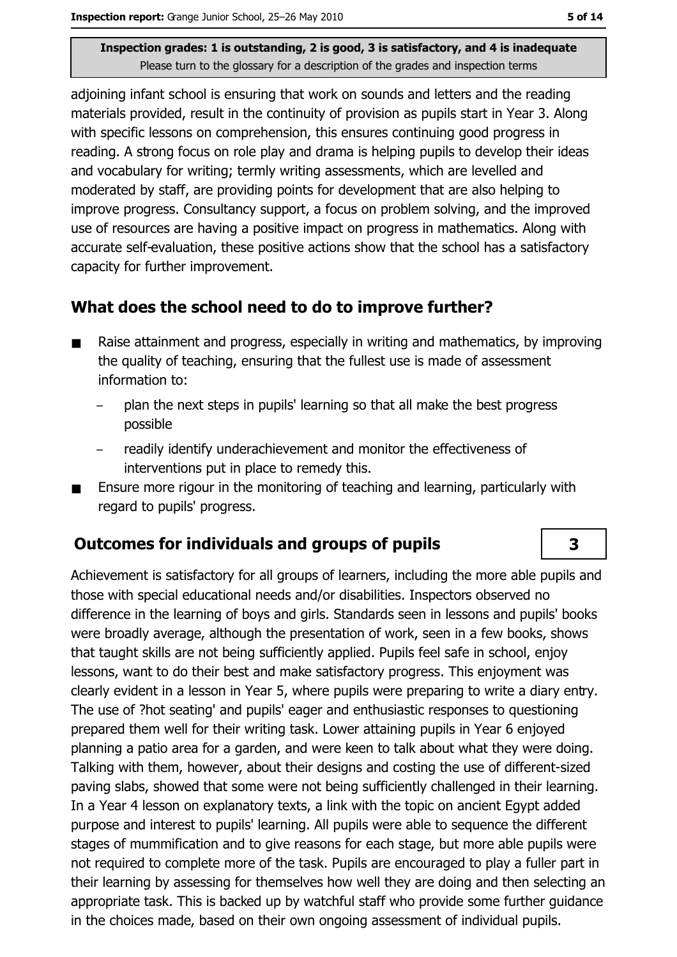adjoining infant school is ensuring that work on sounds and letters and the reading materials provided, result in the continuity of provision as pupils start in Year 3. Along with specific lessons on comprehension, this ensures continuing good progress in reading. A strong focus on role play and drama is helping pupils to develop their ideas and vocabulary for writing; termly writing assessments, which are levelled and moderated by staff, are providing points for development that are also helping to improve progress. Consultancy support, a focus on problem solving, and the improved use of resources are having a positive impact on progress in mathematics. Along with accurate self-evaluation, these positive actions show that the school has a satisfactory capacity for further improvement.

#### What does the school need to do to improve further?

- Raise attainment and progress, especially in writing and mathematics, by improving  $\blacksquare$ the quality of teaching, ensuring that the fullest use is made of assessment information to:
	- plan the next steps in pupils' learning so that all make the best progress possible
	- readily identify underachievement and monitor the effectiveness of interventions put in place to remedy this.
- Ensure more rigour in the monitoring of teaching and learning, particularly with  $\blacksquare$ regard to pupils' progress.

### Outcomes for individuals and groups of pupils

Achievement is satisfactory for all groups of learners, including the more able pupils and those with special educational needs and/or disabilities. Inspectors observed no difference in the learning of boys and girls. Standards seen in lessons and pupils' books were broadly average, although the presentation of work, seen in a few books, shows that taught skills are not being sufficiently applied. Pupils feel safe in school, enjoy lessons, want to do their best and make satisfactory progress. This enjoyment was clearly evident in a lesson in Year 5, where pupils were preparing to write a diary entry. The use of ?hot seating' and pupils' eager and enthusiastic responses to questioning prepared them well for their writing task. Lower attaining pupils in Year 6 enjoved planning a patio area for a garden, and were keen to talk about what they were doing. Talking with them, however, about their designs and costing the use of different-sized paving slabs, showed that some were not being sufficiently challenged in their learning. In a Year 4 lesson on explanatory texts, a link with the topic on ancient Egypt added purpose and interest to pupils' learning. All pupils were able to sequence the different stages of mummification and to give reasons for each stage, but more able pupils were not required to complete more of the task. Pupils are encouraged to play a fuller part in their learning by assessing for themselves how well they are doing and then selecting an appropriate task. This is backed up by watchful staff who provide some further quidance in the choices made, based on their own ongoing assessment of individual pupils.

 $\overline{\mathbf{3}}$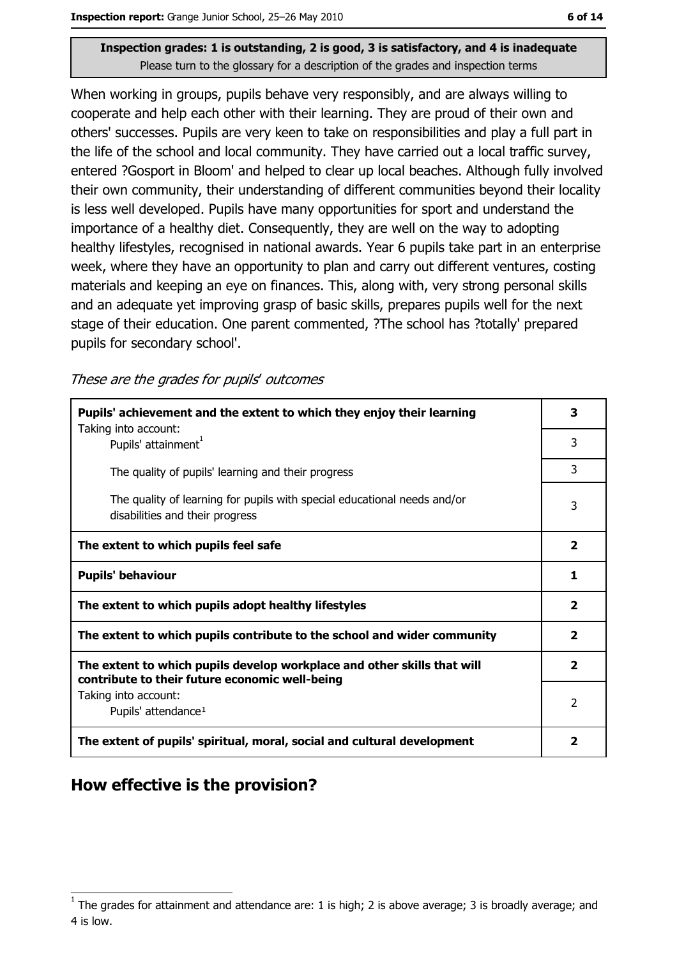When working in groups, pupils behave very responsibly, and are always willing to cooperate and help each other with their learning. They are proud of their own and others' successes. Pupils are very keen to take on responsibilities and play a full part in the life of the school and local community. They have carried out a local traffic survey, entered ?Gosport in Bloom' and helped to clear up local beaches. Although fully involved their own community, their understanding of different communities beyond their locality is less well developed. Pupils have many opportunities for sport and understand the importance of a healthy diet. Consequently, they are well on the way to adopting healthy lifestyles, recognised in national awards. Year 6 pupils take part in an enterprise week, where they have an opportunity to plan and carry out different ventures, costing materials and keeping an eye on finances. This, along with, very strong personal skills and an adequate yet improving grasp of basic skills, prepares pupils well for the next stage of their education. One parent commented, ?The school has ?totally' prepared pupils for secondary school'.

These are the grades for pupils' outcomes

| Pupils' achievement and the extent to which they enjoy their learning                                                     | 3                       |
|---------------------------------------------------------------------------------------------------------------------------|-------------------------|
| Taking into account:<br>Pupils' attainment <sup>1</sup>                                                                   | 3                       |
| The quality of pupils' learning and their progress                                                                        | 3                       |
| The quality of learning for pupils with special educational needs and/or<br>disabilities and their progress               | 3                       |
| The extent to which pupils feel safe                                                                                      | $\overline{\mathbf{2}}$ |
| <b>Pupils' behaviour</b>                                                                                                  | 1                       |
| The extent to which pupils adopt healthy lifestyles                                                                       | $\overline{\mathbf{2}}$ |
| The extent to which pupils contribute to the school and wider community                                                   |                         |
| The extent to which pupils develop workplace and other skills that will<br>contribute to their future economic well-being | $\overline{2}$          |
| Taking into account:<br>Pupils' attendance <sup>1</sup>                                                                   | 2                       |
| The extent of pupils' spiritual, moral, social and cultural development                                                   | 2                       |

## How effective is the provision?

The grades for attainment and attendance are: 1 is high; 2 is above average; 3 is broadly average; and 4 is low.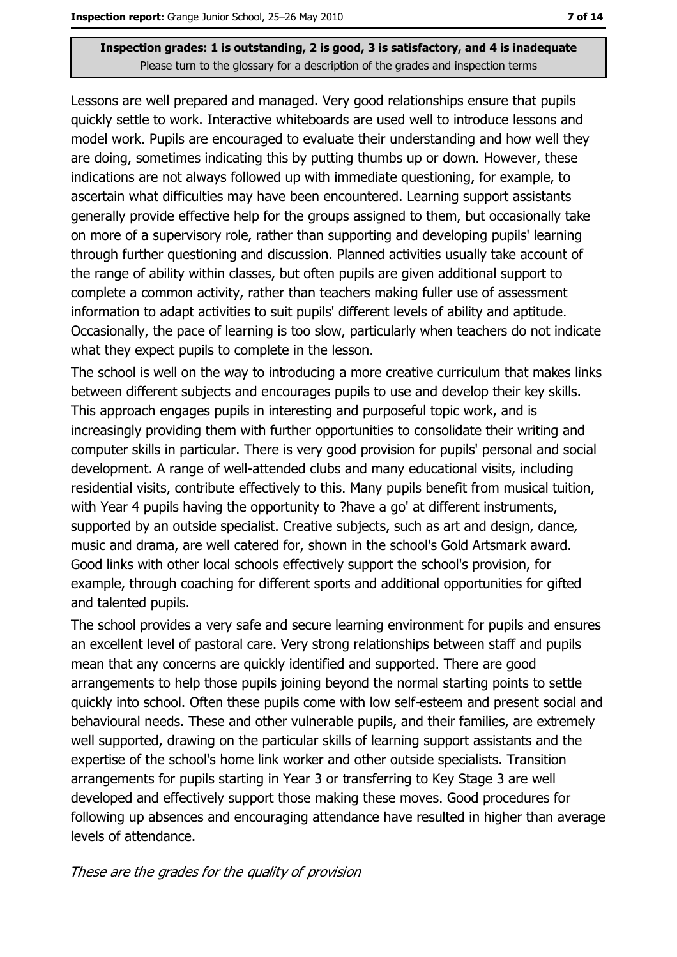Lessons are well prepared and managed. Very good relationships ensure that pupils quickly settle to work. Interactive whiteboards are used well to introduce lessons and model work. Pupils are encouraged to evaluate their understanding and how well they are doing, sometimes indicating this by putting thumbs up or down. However, these indications are not always followed up with immediate questioning, for example, to ascertain what difficulties may have been encountered. Learning support assistants generally provide effective help for the groups assigned to them, but occasionally take on more of a supervisory role, rather than supporting and developing pupils' learning through further questioning and discussion. Planned activities usually take account of the range of ability within classes, but often pupils are given additional support to complete a common activity, rather than teachers making fuller use of assessment information to adapt activities to suit pupils' different levels of ability and aptitude. Occasionally, the pace of learning is too slow, particularly when teachers do not indicate what they expect pupils to complete in the lesson.

The school is well on the way to introducing a more creative curriculum that makes links between different subjects and encourages pupils to use and develop their key skills. This approach engages pupils in interesting and purposeful topic work, and is increasingly providing them with further opportunities to consolidate their writing and computer skills in particular. There is very good provision for pupils' personal and social development. A range of well-attended clubs and many educational visits, including residential visits, contribute effectively to this. Many pupils benefit from musical tuition, with Year 4 pupils having the opportunity to ?have a go' at different instruments, supported by an outside specialist. Creative subjects, such as art and design, dance, music and drama, are well catered for, shown in the school's Gold Artsmark award. Good links with other local schools effectively support the school's provision, for example, through coaching for different sports and additional opportunities for gifted and talented pupils.

The school provides a very safe and secure learning environment for pupils and ensures an excellent level of pastoral care. Very strong relationships between staff and pupils mean that any concerns are quickly identified and supported. There are good arrangements to help those pupils joining beyond the normal starting points to settle quickly into school. Often these pupils come with low self-esteem and present social and behavioural needs. These and other vulnerable pupils, and their families, are extremely well supported, drawing on the particular skills of learning support assistants and the expertise of the school's home link worker and other outside specialists. Transition arrangements for pupils starting in Year 3 or transferring to Key Stage 3 are well developed and effectively support those making these moves. Good procedures for following up absences and encouraging attendance have resulted in higher than average levels of attendance.

These are the grades for the quality of provision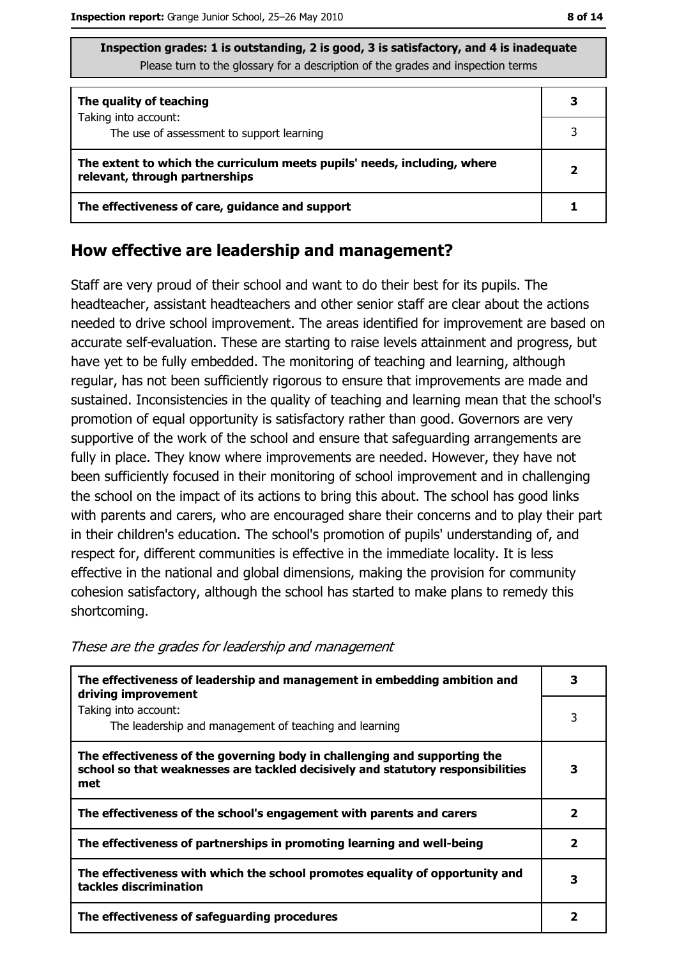| Inspection grades: 1 is outstanding, 2 is good, 3 is satisfactory, and 4 is inadequate |
|----------------------------------------------------------------------------------------|
| Please turn to the glossary for a description of the grades and inspection terms       |

| The quality of teaching                                                                                    |  |
|------------------------------------------------------------------------------------------------------------|--|
| Taking into account:<br>The use of assessment to support learning                                          |  |
| The extent to which the curriculum meets pupils' needs, including, where<br>relevant, through partnerships |  |
| The effectiveness of care, guidance and support                                                            |  |

#### How effective are leadership and management?

Staff are very proud of their school and want to do their best for its pupils. The headteacher, assistant headteachers and other senior staff are clear about the actions needed to drive school improvement. The areas identified for improvement are based on accurate self-evaluation. These are starting to raise levels attainment and progress, but have yet to be fully embedded. The monitoring of teaching and learning, although regular, has not been sufficiently rigorous to ensure that improvements are made and sustained. Inconsistencies in the quality of teaching and learning mean that the school's promotion of equal opportunity is satisfactory rather than good. Governors are very supportive of the work of the school and ensure that safeguarding arrangements are fully in place. They know where improvements are needed. However, they have not been sufficiently focused in their monitoring of school improvement and in challenging the school on the impact of its actions to bring this about. The school has good links with parents and carers, who are encouraged share their concerns and to play their part in their children's education. The school's promotion of pupils' understanding of, and respect for, different communities is effective in the immediate locality. It is less effective in the national and global dimensions, making the provision for community cohesion satisfactory, although the school has started to make plans to remedy this shortcoming.

The effectiveness of leadership and management in embedding ambition and  $\overline{\mathbf{3}}$ driving improvement Taking into account:  $\mathbf{R}$ The leadership and management of teaching and learning The effectiveness of the governing body in challenging and supporting the school so that weaknesses are tackled decisively and statutory responsibilities  $\overline{\mathbf{3}}$ met  $\overline{2}$ The effectiveness of the school's engagement with parents and carers  $\overline{2}$ The effectiveness of partnerships in promoting learning and well-being The effectiveness with which the school promotes equality of opportunity and  $\overline{\mathbf{3}}$ tackles discrimination  $\overline{2}$ The effectiveness of safeguarding procedures

These are the grades for leadership and management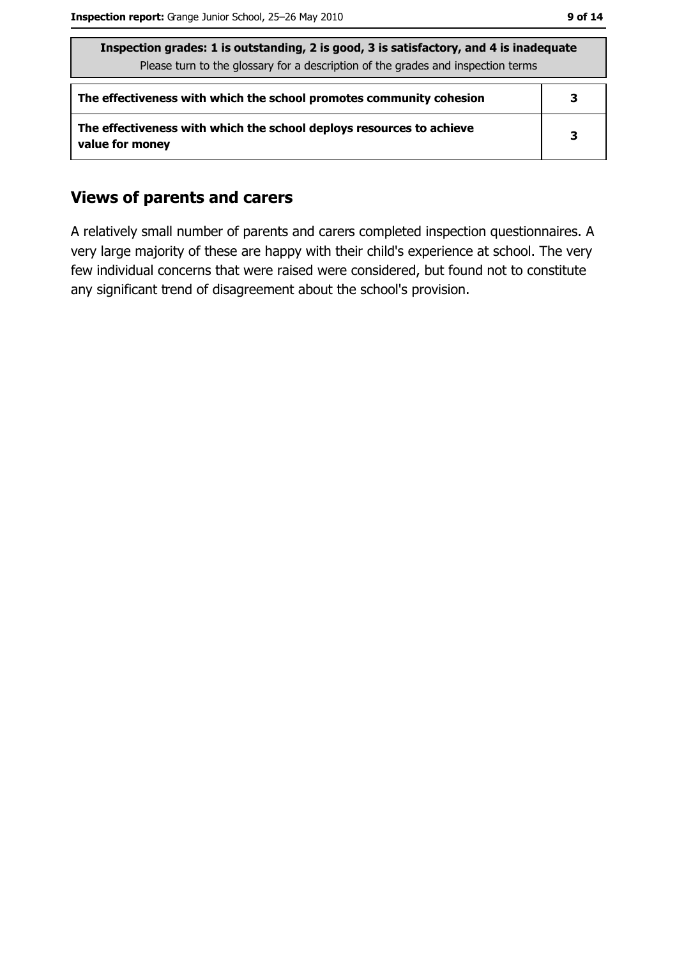| Inspection grades: 1 is outstanding, 2 is good, 3 is satisfactory, and 4 is inadequate<br>Please turn to the glossary for a description of the grades and inspection terms |   |  |
|----------------------------------------------------------------------------------------------------------------------------------------------------------------------------|---|--|
| The effectiveness with which the school promotes community cohesion                                                                                                        | З |  |
| The effectiveness with which the school deploys resources to achieve<br>value for money                                                                                    | З |  |

### **Views of parents and carers**

A relatively small number of parents and carers completed inspection questionnaires. A very large majority of these are happy with their child's experience at school. The very few individual concerns that were raised were considered, but found not to constitute any significant trend of disagreement about the school's provision.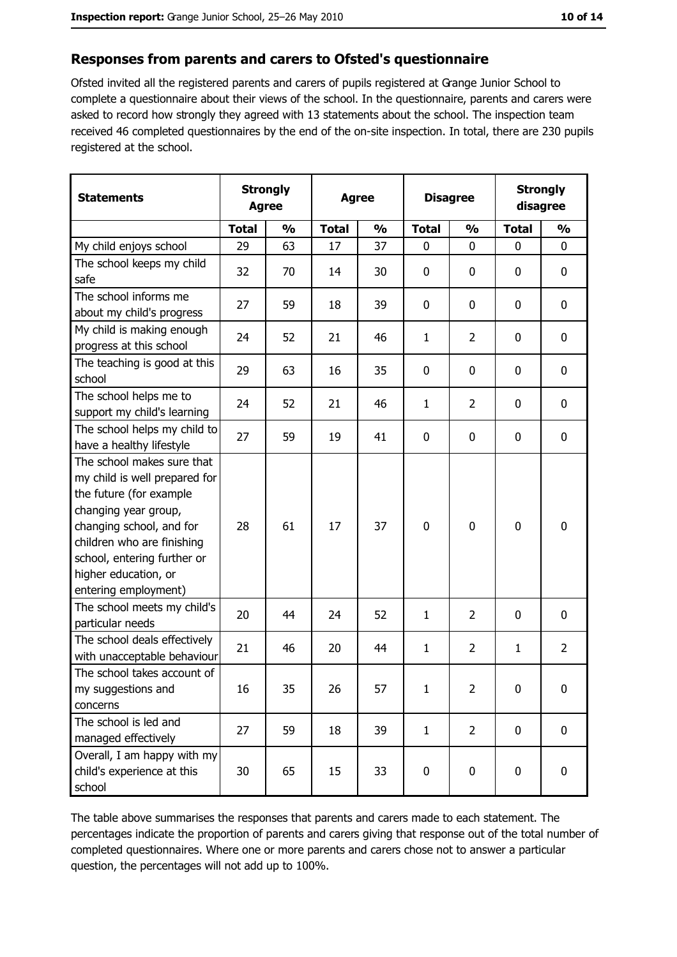#### Responses from parents and carers to Ofsted's questionnaire

Ofsted invited all the registered parents and carers of pupils registered at Grange Junior School to complete a questionnaire about their views of the school. In the questionnaire, parents and carers were asked to record how strongly they agreed with 13 statements about the school. The inspection team received 46 completed questionnaires by the end of the on-site inspection. In total, there are 230 pupils registered at the school.

| <b>Statements</b>                                                                                                                                                                                                                                       | <b>Strongly</b><br><b>Agree</b> |               | <b>Agree</b> |               | <b>Disagree</b> |                | <b>Strongly</b><br>disagree |                  |
|---------------------------------------------------------------------------------------------------------------------------------------------------------------------------------------------------------------------------------------------------------|---------------------------------|---------------|--------------|---------------|-----------------|----------------|-----------------------------|------------------|
|                                                                                                                                                                                                                                                         | <b>Total</b>                    | $\frac{0}{0}$ | <b>Total</b> | $\frac{0}{0}$ | <b>Total</b>    | $\frac{0}{0}$  | <b>Total</b>                | $\frac{0}{0}$    |
| My child enjoys school                                                                                                                                                                                                                                  | 29                              | 63            | 17           | 37            | 0               | 0              | 0                           | 0                |
| The school keeps my child<br>safe                                                                                                                                                                                                                       | 32                              | 70            | 14           | 30            | $\mathbf 0$     | 0              | 0                           | 0                |
| The school informs me<br>about my child's progress                                                                                                                                                                                                      | 27                              | 59            | 18           | 39            | 0               | 0              | 0                           | $\mathbf 0$      |
| My child is making enough<br>progress at this school                                                                                                                                                                                                    | 24                              | 52            | 21           | 46            | 1               | $\overline{2}$ | 0                           | $\mathbf 0$      |
| The teaching is good at this<br>school                                                                                                                                                                                                                  | 29                              | 63            | 16           | 35            | 0               | 0              | 0                           | $\boldsymbol{0}$ |
| The school helps me to<br>support my child's learning                                                                                                                                                                                                   | 24                              | 52            | 21           | 46            | 1               | $\overline{2}$ | 0                           | 0                |
| The school helps my child to<br>have a healthy lifestyle                                                                                                                                                                                                | 27                              | 59            | 19           | 41            | $\bf{0}$        | 0              | 0                           | $\boldsymbol{0}$ |
| The school makes sure that<br>my child is well prepared for<br>the future (for example<br>changing year group,<br>changing school, and for<br>children who are finishing<br>school, entering further or<br>higher education, or<br>entering employment) | 28                              | 61            | 17           | 37            | $\mathbf 0$     | 0              | 0                           | $\boldsymbol{0}$ |
| The school meets my child's<br>particular needs                                                                                                                                                                                                         | 20                              | 44            | 24           | 52            | $\mathbf{1}$    | 2              | 0                           | 0                |
| The school deals effectively<br>with unacceptable behaviour                                                                                                                                                                                             | 21                              | 46            | 20           | 44            | $\mathbf{1}$    | $\overline{2}$ | 1                           | $\overline{2}$   |
| The school takes account of<br>my suggestions and<br>concerns                                                                                                                                                                                           | 16                              | 35            | 26           | 57            | 1               | 2              | 0                           | 0                |
| The school is led and<br>managed effectively                                                                                                                                                                                                            | 27                              | 59            | 18           | 39            | $\mathbf{1}$    | $\overline{2}$ | $\mathbf 0$                 | 0                |
| Overall, I am happy with my<br>child's experience at this<br>school                                                                                                                                                                                     | 30                              | 65            | 15           | 33            | $\bf{0}$        | 0              | $\bf{0}$                    | 0                |

The table above summarises the responses that parents and carers made to each statement. The percentages indicate the proportion of parents and carers giving that response out of the total number of completed questionnaires. Where one or more parents and carers chose not to answer a particular question, the percentages will not add up to 100%.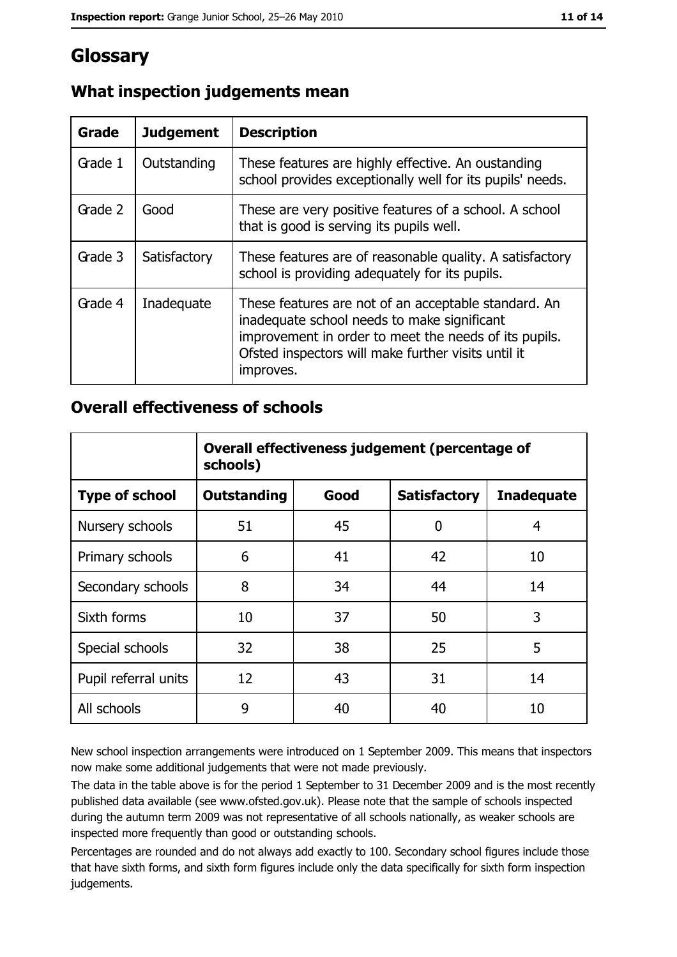## Glossary

| Grade   | <b>Judgement</b> | <b>Description</b>                                                                                                                                                                                                               |
|---------|------------------|----------------------------------------------------------------------------------------------------------------------------------------------------------------------------------------------------------------------------------|
| Grade 1 | Outstanding      | These features are highly effective. An oustanding<br>school provides exceptionally well for its pupils' needs.                                                                                                                  |
| Grade 2 | Good             | These are very positive features of a school. A school<br>that is good is serving its pupils well.                                                                                                                               |
| Grade 3 | Satisfactory     | These features are of reasonable quality. A satisfactory<br>school is providing adequately for its pupils.                                                                                                                       |
| Grade 4 | Inadequate       | These features are not of an acceptable standard. An<br>inadequate school needs to make significant<br>improvement in order to meet the needs of its pupils.<br>Ofsted inspectors will make further visits until it<br>improves. |

## What inspection judgements mean

#### **Overall effectiveness of schools**

|                       | Overall effectiveness judgement (percentage of<br>schools) |      |                     |                   |
|-----------------------|------------------------------------------------------------|------|---------------------|-------------------|
| <b>Type of school</b> | <b>Outstanding</b>                                         | Good | <b>Satisfactory</b> | <b>Inadequate</b> |
| Nursery schools       | 51                                                         | 45   | 0                   | 4                 |
| Primary schools       | 6                                                          | 41   | 42                  | 10                |
| Secondary schools     | 8                                                          | 34   | 44                  | 14                |
| Sixth forms           | 10                                                         | 37   | 50                  | 3                 |
| Special schools       | 32                                                         | 38   | 25                  | 5                 |
| Pupil referral units  | 12                                                         | 43   | 31                  | 14                |
| All schools           | 9                                                          | 40   | 40                  | 10                |

New school inspection arrangements were introduced on 1 September 2009. This means that inspectors now make some additional judgements that were not made previously.

The data in the table above is for the period 1 September to 31 December 2009 and is the most recently published data available (see www.ofsted.gov.uk). Please note that the sample of schools inspected during the autumn term 2009 was not representative of all schools nationally, as weaker schools are inspected more frequently than good or outstanding schools.

Percentages are rounded and do not always add exactly to 100. Secondary school figures include those that have sixth forms, and sixth form figures include only the data specifically for sixth form inspection judgements.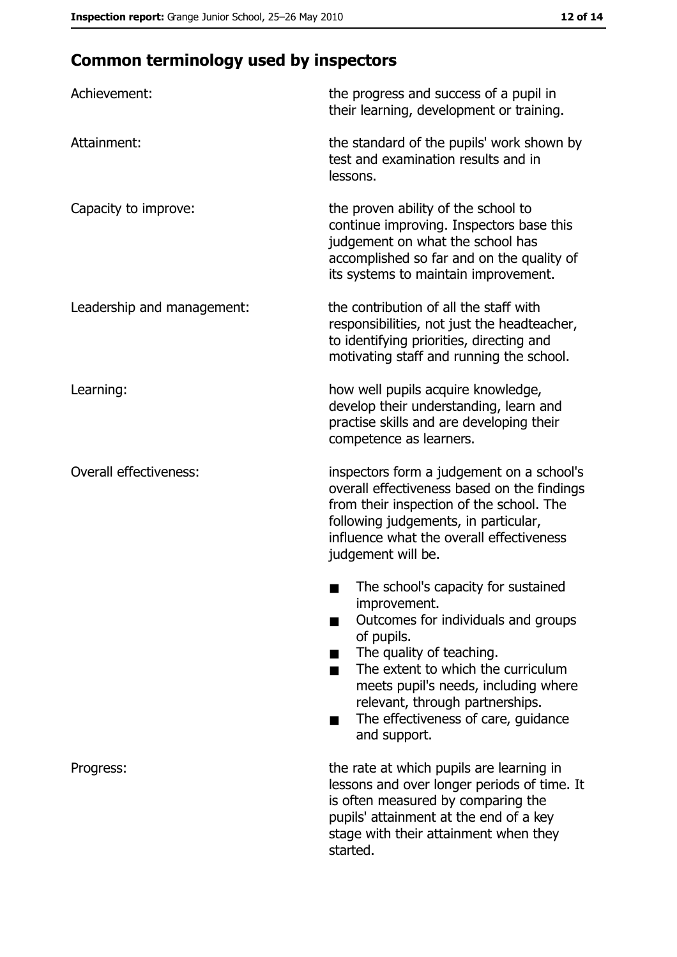# **Common terminology used by inspectors**

| Achievement:                  | the progress and success of a pupil in<br>their learning, development or training.                                                                                                                                                                                                                           |
|-------------------------------|--------------------------------------------------------------------------------------------------------------------------------------------------------------------------------------------------------------------------------------------------------------------------------------------------------------|
| Attainment:                   | the standard of the pupils' work shown by<br>test and examination results and in<br>lessons.                                                                                                                                                                                                                 |
| Capacity to improve:          | the proven ability of the school to<br>continue improving. Inspectors base this<br>judgement on what the school has<br>accomplished so far and on the quality of<br>its systems to maintain improvement.                                                                                                     |
| Leadership and management:    | the contribution of all the staff with<br>responsibilities, not just the headteacher,<br>to identifying priorities, directing and<br>motivating staff and running the school.                                                                                                                                |
| Learning:                     | how well pupils acquire knowledge,<br>develop their understanding, learn and<br>practise skills and are developing their<br>competence as learners.                                                                                                                                                          |
| <b>Overall effectiveness:</b> | inspectors form a judgement on a school's<br>overall effectiveness based on the findings<br>from their inspection of the school. The<br>following judgements, in particular,<br>influence what the overall effectiveness<br>judgement will be.                                                               |
|                               | The school's capacity for sustained<br>improvement.<br>Outcomes for individuals and groups<br>of pupils.<br>The quality of teaching.<br>The extent to which the curriculum<br>meets pupil's needs, including where<br>relevant, through partnerships.<br>The effectiveness of care, guidance<br>and support. |
| Progress:                     | the rate at which pupils are learning in<br>lessons and over longer periods of time. It<br>is often measured by comparing the<br>pupils' attainment at the end of a key<br>stage with their attainment when they<br>started.                                                                                 |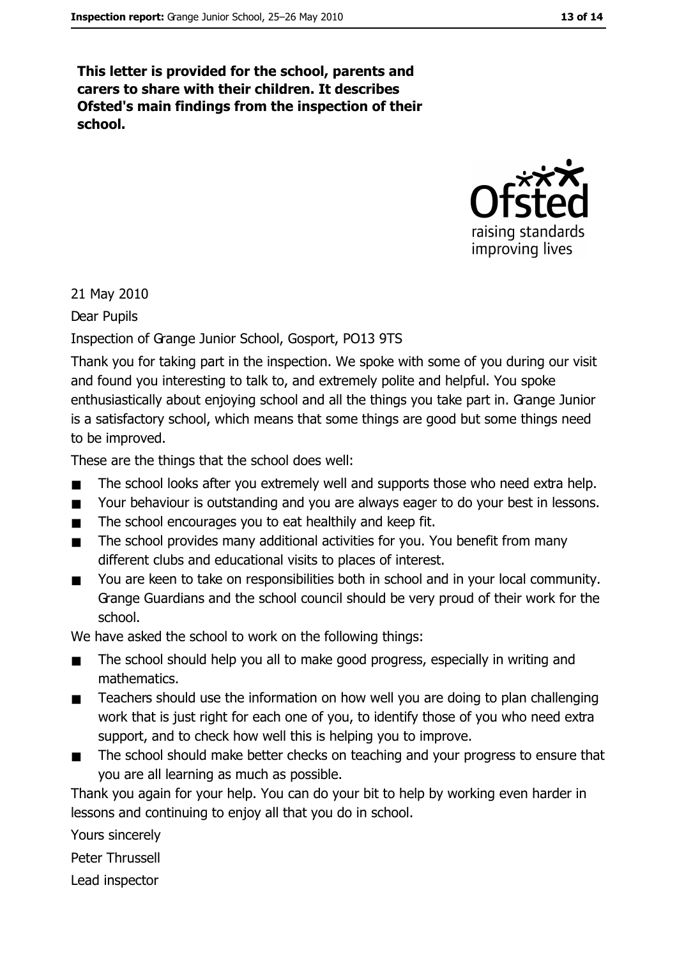This letter is provided for the school, parents and carers to share with their children. It describes Ofsted's main findings from the inspection of their school.



21 May 2010

Dear Pupils

Inspection of Grange Junior School, Gosport, PO13 9TS

Thank you for taking part in the inspection. We spoke with some of you during our visit and found you interesting to talk to, and extremely polite and helpful. You spoke enthusiastically about enjoying school and all the things you take part in. Grange Junior is a satisfactory school, which means that some things are good but some things need to be improved.

These are the things that the school does well:

- The school looks after you extremely well and supports those who need extra help.  $\blacksquare$
- $\blacksquare$ Your behaviour is outstanding and you are always eager to do your best in lessons.
- The school encourages you to eat healthily and keep fit.  $\blacksquare$
- The school provides many additional activities for you. You benefit from many  $\blacksquare$ different clubs and educational visits to places of interest.
- You are keen to take on responsibilities both in school and in your local community.  $\blacksquare$ Grange Guardians and the school council should be very proud of their work for the school.

We have asked the school to work on the following things:

- The school should help you all to make good progress, especially in writing and  $\blacksquare$ mathematics.
- Teachers should use the information on how well you are doing to plan challenging  $\blacksquare$ work that is just right for each one of you, to identify those of you who need extra support, and to check how well this is helping you to improve.
- The school should make better checks on teaching and your progress to ensure that  $\blacksquare$ you are all learning as much as possible.

Thank you again for your help. You can do your bit to help by working even harder in lessons and continuing to enjoy all that you do in school.

Yours sincerely

Peter Thrussell

Lead inspector